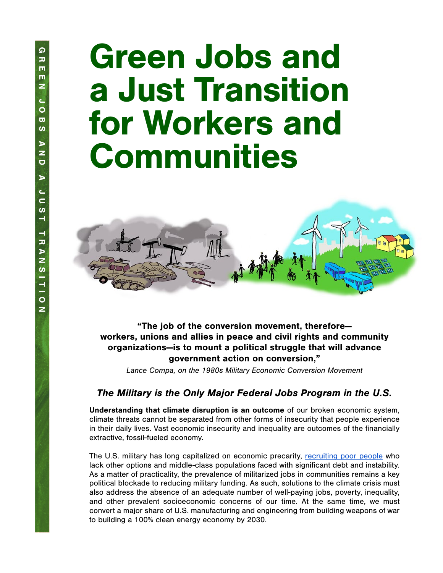# Green Jobs and a Just Transition for Workers and Communities



"The job of the conversion movement, therefore workers, unions and allies in peace and civil rights and community organizations—is to mount a political struggle that will advance government action on conversion,"

*Lance Compa, on the 1980s Military Economic Conversion Movement*

## The Military is the Only Major Federal Jobs Program in the U.S.

Understanding that climate disruption is an outcome of our broken economic system, climate threats cannot be separated from other forms of insecurity that people experience in their daily lives. Vast economic insecurity and inequality are outcomes of the financially extractive, fossil-fueled economy.

The U.S. military has long capitalized on economic precarity, [recruiting poor people](https://www.teenvogue.com/story/the-military-targets-youth-for-recruitment) who lack other options and middle-class populations faced with significant debt and instability. As a matter of practicality, the prevalence of militarized jobs in communities remains a key political blockade to reducing military funding. As such, solutions to the climate crisis must also address the absence of an adequate number of well-paying jobs, poverty, inequality, and other prevalent socioeconomic concerns of our time. At the same time, we must convert a major share of U.S. manufacturing and engineering from building weapons of war to building a 100% clean energy economy by 2030.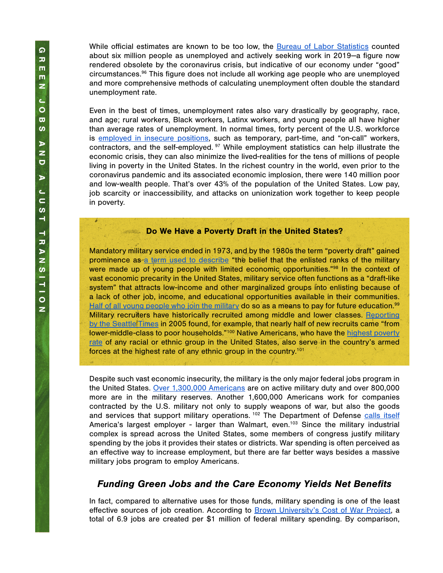While official estimates are known to be too low, the **Bureau of Labor Statistics** counted about six million people as unemployed and actively seeking work in 2019—a figure now rendered obsolete by the coronavirus crisis, but indicative of our economy under "good" circumstances.96 This figure does not include all working age people who are unemployed and more comprehensive methods of calculating unemployment often double the standard unemployment rate.

Even in the best of times, unemployment rates also vary drastically by geography, race, and age; rural workers, Black workers, Latinx workers, and young people all have higher than average rates of unemployment. In normal times, forty percent of the U.S. workforce is [employed in insecure positions](https://ips-dc.org/report-moral-budget-2/), such as temporary, part-time, and "on-call" workers, contractors, and the self-employed. 97 While employment statistics can help illustrate the economic crisis, they can also minimize the lived-realities for the tens of millions of people living in poverty in the United States. In the richest country in the world, even prior to the coronavirus pandemic and its associated economic implosion, there were 140 million poor and low-wealth people. That's over 43% of the population of the United States. Low pay, job scarcity or inaccessibility, and attacks on unionization work together to keep people in poverty.

#### Do We Have a Poverty Draft in the United States?

Mandatory military service ended in 1973, and by the 1980s the term "poverty draft" gained prominence as [a term used to describe](https://sojo.net/magazine/june-2007/poverty-draft) "the belief that the enlisted ranks of the military were made up of young people with limited economic opportunities."<sup>98</sup> In the context of vast economic precarity in the United States, military service often functions as a "draft-like system" that attracts low-income and other marginalized groups into enlisting because of a lack of other job, income, and educational opportunities available in their communities. [Half of all young people who join the military](https://jamrs.defense.gov/Portals/20/Futures-Survey-Spring-2017.pdf) do so as a means to pay for future education.<sup>99</sup> Military recruiters have historically recruited among middle and lower classes. [Reporting](https://newrepublic.com/article/156131/military-views-poor-kids-fodder-forever-wars) [by the Seattle Times](https://newrepublic.com/article/156131/military-views-poor-kids-fodder-forever-wars) in 2005 found, for example, that nearly half of new recruits came "from lower-middle-class to poor households."100 Native Americans, who have the [highest poverty](https://ips-dc.org/wp-content/uploads/2018/06/June-12-Testimony-IPS-layout-draft-june-8-2018-ss.pdf) [rate](https://ips-dc.org/wp-content/uploads/2018/06/June-12-Testimony-IPS-layout-draft-june-8-2018-ss.pdf) of any racial or ethnic group in the United States, also serve in the country's armed forces at the highest rate of any ethnic group in the country.101

Despite such vast economic insecurity, the military is the only major federal jobs program in the United States. [Over 1,300,000 Americans](https://www.csmonitor.com/Business/Robert-Reich/2010/0813/America-s-biggest-jobs-program-The-US-military) are on active military duty and over 800,000 more are in the military reserves. Another 1,600,000 Americans work for companies contracted by the U.S. military not only to supply weapons of war, but also the goods and services that support military operations.<sup>102</sup> The Department of Defense [calls itself](https://www.defense.gov/our-story/) America's largest employer - larger than Walmart, even.<sup>103</sup> Since the military industrial complex is spread across the United States, some members of congress justify military spending by the jobs it provides their states or districts. War spending is often perceived as an effective way to increase employment, but there are far better ways besides a massive military jobs program to employ Americans.

### Funding Green Jobs and the Care Economy Yields Net Benefits

In fact, compared to alternative uses for those funds, military spending is one of the least effective sources of job creation. According to **[Brown University's Cost of War Project](https://watson.brown.edu/costsofwar/files/cow/imce/papers/2017/Job%20Opportunity%20Cost%20of%20War%20-%20HGP%20-%20FINAL.pdf)**, a total of 6.9 jobs are created per \$1 million of federal military spending. By comparison,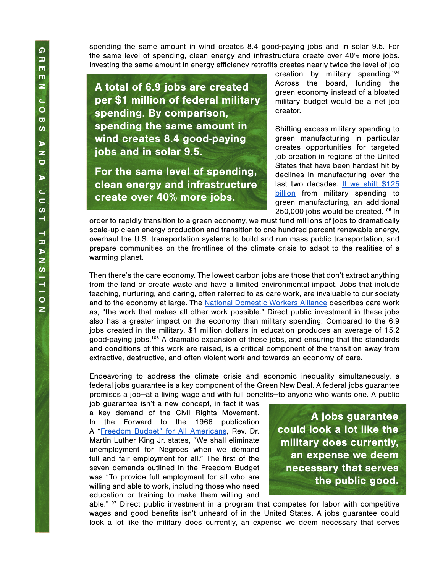spending the same amount in wind creates 8.4 good-paying jobs and in solar 9.5. For the same level of spending, clean energy and infrastructure create over 40% more jobs. Investing the same amount in energy efficiency retrofits creates nearly twice the level of job

A total of 6.9 jobs are created per \$1 million of federal military spending. By comparison, spending the same amount in wind creates 8.4 good-paying jobs and in solar 9.5.

For the same level of spending, clean energy and infrastructure create over 40% more jobs.

creation by military spending.104 Across the board, funding the green economy instead of a bloated military budget would be a net job creator.

Shifting excess military spending to green manufacturing in particular creates opportunities for targeted job creation in regions of the United States that have been hardest hit by declines in manufacturing over the last two decades. [If we shift \\$125](https://watson.brown.edu/costsofwar/files/cow/imce/papers/2019/Peltier%20Nov2019%20Short%20GND%20CoW.pdf) [billion](https://watson.brown.edu/costsofwar/files/cow/imce/papers/2019/Peltier%20Nov2019%20Short%20GND%20CoW.pdf) from military spending to green manufacturing, an additional 250,000 jobs would be created.105 In

order to rapidly transition to a green economy, we must fund millions of jobs to dramatically scale-up clean energy production and transition to one hundred percent renewable energy, overhaul the U.S. transportation systems to build and run mass public transportation, and prepare communities on the frontlines of the climate crisis to adapt to the realities of a warming planet.

Then there's the care economy. The lowest carbon jobs are those that don't extract anything from the land or create waste and have a limited environmental impact. Jobs that include teaching, nurturing, and caring, often referred to as care work, are invaluable to our society and to the economy at large. The [National Domestic Workers Alliance](https://www.domesticworkers.org/) describes care work as, "the work that makes all other work possible." Direct public investment in these jobs also has a greater impact on the economy than military spending. Compared to the 6.9 jobs created in the military, \$1 million dollars in education produces an average of 15.2 good-paying jobs.106 A dramatic expansion of these jobs, and ensuring that the standards and conditions of this work are raised, is a critical component of the transition away from extractive, destructive, and often violent work and towards an economy of care.

Endeavoring to address the climate crisis and economic inequality simultaneously, a federal jobs guarantee is a key component of the Green New Deal. A federal jobs guarantee promises a job—at a living wage and with full benefits—to anyone who wants one. A public

job guarantee isn't a new concept, in fact it was a key demand of the Civil Rights Movement. In the Forward to the 1966 publication A ["Freedom Budget" for All Americans](https://www.crmvet.org/docs/6701_freedombudget.pdf), Rev. Dr. Martin Luther King Jr. states, "We shall eliminate unemployment for Negroes when we demand full and fair employment for all." The first of the seven demands outlined in the Freedom Budget was "To provide full employment for all who are willing and able to work, including those who need education or training to make them willing and

A jobs guarantee could look a lot like the military does currently, an expense we deem necessary that serves the public good.

able."107 Direct public investment in a program that competes for labor with competitive wages and good benefits isn't unheard of in the United States. A jobs guarantee could look a lot like the military does currently, an expense we deem necessary that serves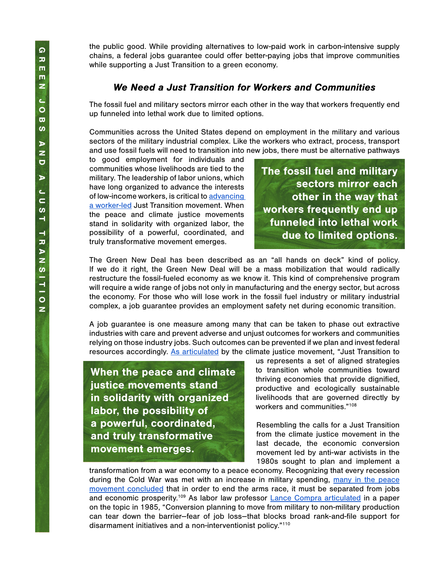the public good. While providing alternatives to low-paid work in carbon-intensive supply chains, a federal jobs guarantee could offer better-paying jobs that improve communities while supporting a Just Transition to a green economy.

## We Need a Just Transition for Workers and Communities

The fossil fuel and military sectors mirror each other in the way that workers frequently end up funneled into lethal work due to limited options.

Communities across the United States depend on employment in the military and various sectors of the military industrial complex. Like the workers who extract, process, transport and use fossil fuels will need to transition into new jobs, there must be alternative pathways

to good employment for individuals and communities whose livelihoods are tied to the military. The leadership of labor unions, which have long organized to advance the interests of low-income workers, is critical to [advancing](https://prospect.org/labor/labor-unions-must-lead-just-transition-fossil-fuels-clean-energy/)  [a worker-led](https://prospect.org/labor/labor-unions-must-lead-just-transition-fossil-fuels-clean-energy/) Just Transition movement. When the peace and climate justice movements stand in solidarity with organized labor, the possibility of a powerful, coordinated, and truly transformative movement emerges.

The fossil fuel and military sectors mirror each other in the way that workers frequently end up funneled into lethal work due to limited options.

The Green New Deal has been described as an "all hands on deck" kind of policy. If we do it right, the Green New Deal will be a mass mobilization that would radically restructure the fossil-fueled economy as we know it. This kind of comprehensive program will require a wide range of jobs not only in manufacturing and the energy sector, but across the economy. For those who will lose work in the fossil fuel industry or military industrial complex, a job guarantee provides an employment safety net during economic transition.

A job guarantee is one measure among many that can be taken to phase out extractive industries with care and prevent adverse and unjust outcomes for workers and communities relying on those industry jobs. Such outcomes can be prevented if we plan and invest federal resources accordingly. [As articulated](https://movementgeneration.org/wp-content/uploads/2016/11/JT_booklet_English_SPREADs_web.pdf) by the climate justice movement, "Just Transition to

When the peace and climate justice movements stand in solidarity with organized labor, the possibility of a powerful, coordinated, and truly transformative movement emerges.

us represents a set of aligned strategies to transition whole communities toward thriving economies that provide dignified, productive and ecologically sustainable livelihoods that are governed directly by workers and communities."108

Resembling the calls for a Just Transition from the climate justice movement in the last decade, the economic conversion movement led by anti-war activists in the 1980s sought to plan and implement a

transformation from a war economy to a peace economy. Recognizing that every recession during the Cold War was met with an increase in military spending, [many in the peace](https://www.labor4sustainability.org/uncategorized/just-transition-just-what-is-it/) [movement concluded](https://www.labor4sustainability.org/uncategorized/just-transition-just-what-is-it/) that in order to end the arms race, it must be separated from jobs and economic prosperity.109 As labor law professor [Lance Compra articulated](https://digitalcommons.ilr.cornell.edu/cgi/viewcontent.cgi?referer=https://www.google.com/&httpsredir=1&article=1060&context=lrr) in a paper on the topic in 1985, "Conversion planning to move from military to non-military production can tear down the barrier--fear of job loss--that blocks broad rank-and-file support for disarmament initiatives and a non-interventionist policy."110